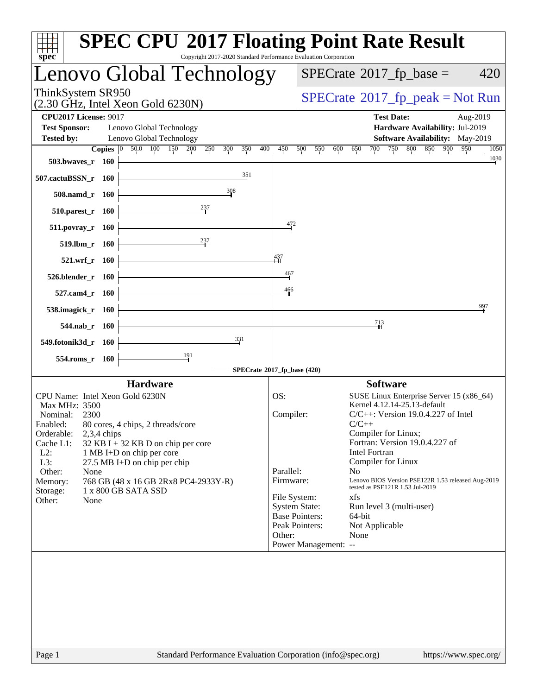| spec <sup>®</sup>                                                                                                                                                                                                                                                                                                                                                                                                        | <b>SPEC CPU®2017 Floating Point Rate Result</b><br>Copyright 2017-2020 Standard Performance Evaluation Corporation                                                                                                                                                                                                                                                                                                                                                                                                                                                                |
|--------------------------------------------------------------------------------------------------------------------------------------------------------------------------------------------------------------------------------------------------------------------------------------------------------------------------------------------------------------------------------------------------------------------------|-----------------------------------------------------------------------------------------------------------------------------------------------------------------------------------------------------------------------------------------------------------------------------------------------------------------------------------------------------------------------------------------------------------------------------------------------------------------------------------------------------------------------------------------------------------------------------------|
| Lenovo Global Technology                                                                                                                                                                                                                                                                                                                                                                                                 | $SPECrate^{\circledast}2017$ _fp_base =<br>420                                                                                                                                                                                                                                                                                                                                                                                                                                                                                                                                    |
| ThinkSystem SR950<br>$(2.30 \text{ GHz}, \text{Intel Xeon Gold } 6230\text{N})$                                                                                                                                                                                                                                                                                                                                          | $SPECTate@2017_fp\_peak = Not Run$                                                                                                                                                                                                                                                                                                                                                                                                                                                                                                                                                |
| <b>CPU2017 License: 9017</b><br><b>Test Sponsor:</b><br>Lenovo Global Technology                                                                                                                                                                                                                                                                                                                                         | <b>Test Date:</b><br>Aug-2019<br>Hardware Availability: Jul-2019                                                                                                                                                                                                                                                                                                                                                                                                                                                                                                                  |
| Lenovo Global Technology<br><b>Tested by:</b>                                                                                                                                                                                                                                                                                                                                                                            | Software Availability: May-2019                                                                                                                                                                                                                                                                                                                                                                                                                                                                                                                                                   |
| 50.0 100 150<br>$\overline{\text{Copies}}$ 0<br>200<br>250<br>300<br>350<br>503.bwaves_r 160                                                                                                                                                                                                                                                                                                                             | 800<br>850<br>950<br>400<br>700<br>750<br>900<br>450<br>500<br>550<br>600<br>650<br>1050<br>1030                                                                                                                                                                                                                                                                                                                                                                                                                                                                                  |
| 351<br>507.cactuBSSN_r 160                                                                                                                                                                                                                                                                                                                                                                                               |                                                                                                                                                                                                                                                                                                                                                                                                                                                                                                                                                                                   |
| 308<br>508.namd_r 160                                                                                                                                                                                                                                                                                                                                                                                                    |                                                                                                                                                                                                                                                                                                                                                                                                                                                                                                                                                                                   |
| $^{237}$<br>510.parest_r 160                                                                                                                                                                                                                                                                                                                                                                                             | 472                                                                                                                                                                                                                                                                                                                                                                                                                                                                                                                                                                               |
| $511. povray_r 160$<br>$^{237}$<br>$519.$ lbm $r$ 160                                                                                                                                                                                                                                                                                                                                                                    |                                                                                                                                                                                                                                                                                                                                                                                                                                                                                                                                                                                   |
| 521.wrf_r 160                                                                                                                                                                                                                                                                                                                                                                                                            | 437                                                                                                                                                                                                                                                                                                                                                                                                                                                                                                                                                                               |
| 526.blender_r 160                                                                                                                                                                                                                                                                                                                                                                                                        | $\frac{467}{1}$                                                                                                                                                                                                                                                                                                                                                                                                                                                                                                                                                                   |
| 527.cam4_r 160                                                                                                                                                                                                                                                                                                                                                                                                           | 466                                                                                                                                                                                                                                                                                                                                                                                                                                                                                                                                                                               |
| 538.imagick_r 160                                                                                                                                                                                                                                                                                                                                                                                                        | 997                                                                                                                                                                                                                                                                                                                                                                                                                                                                                                                                                                               |
| 544.nab_r 160<br>331                                                                                                                                                                                                                                                                                                                                                                                                     | 713                                                                                                                                                                                                                                                                                                                                                                                                                                                                                                                                                                               |
| 549.fotonik3d_r 160<br>191<br>554.roms_r 160                                                                                                                                                                                                                                                                                                                                                                             |                                                                                                                                                                                                                                                                                                                                                                                                                                                                                                                                                                                   |
|                                                                                                                                                                                                                                                                                                                                                                                                                          | SPECrate®2017_fp_base (420)                                                                                                                                                                                                                                                                                                                                                                                                                                                                                                                                                       |
| <b>Hardware</b>                                                                                                                                                                                                                                                                                                                                                                                                          | <b>Software</b>                                                                                                                                                                                                                                                                                                                                                                                                                                                                                                                                                                   |
| CPU Name: Intel Xeon Gold 6230N<br><b>Max MHz: 3500</b><br>Nominal:<br>2300<br>Enabled:<br>80 cores, 4 chips, 2 threads/core<br>Orderable:<br>$2,3,4$ chips<br>Cache L1:<br>$32$ KB I + 32 KB D on chip per core<br>$L2$ :<br>1 MB I+D on chip per core<br>L3:<br>27.5 MB I+D on chip per chip<br>Other:<br>None<br>Memory:<br>768 GB (48 x 16 GB 2Rx8 PC4-2933Y-R)<br>1 x 800 GB SATA SSD<br>Storage:<br>Other:<br>None | SUSE Linux Enterprise Server 15 (x86_64)<br>OS:<br>Kernel 4.12.14-25.13-default<br>Compiler:<br>$C/C++$ : Version 19.0.4.227 of Intel<br>$C/C++$<br>Compiler for Linux;<br>Fortran: Version 19.0.4.227 of<br>Intel Fortran<br>Compiler for Linux<br>Parallel:<br>N <sub>0</sub><br>Lenovo BIOS Version PSE122R 1.53 released Aug-2019<br>Firmware:<br>tested as PSE121R 1.53 Jul-2019<br>File System:<br>xfs<br><b>System State:</b><br>Run level 3 (multi-user)<br><b>Base Pointers:</b><br>64-bit<br>Peak Pointers:<br>Not Applicable<br>Other:<br>None<br>Power Management: -- |
| Page 1                                                                                                                                                                                                                                                                                                                                                                                                                   | Standard Performance Evaluation Corporation (info@spec.org)<br>https://www.spec.org/                                                                                                                                                                                                                                                                                                                                                                                                                                                                                              |
|                                                                                                                                                                                                                                                                                                                                                                                                                          |                                                                                                                                                                                                                                                                                                                                                                                                                                                                                                                                                                                   |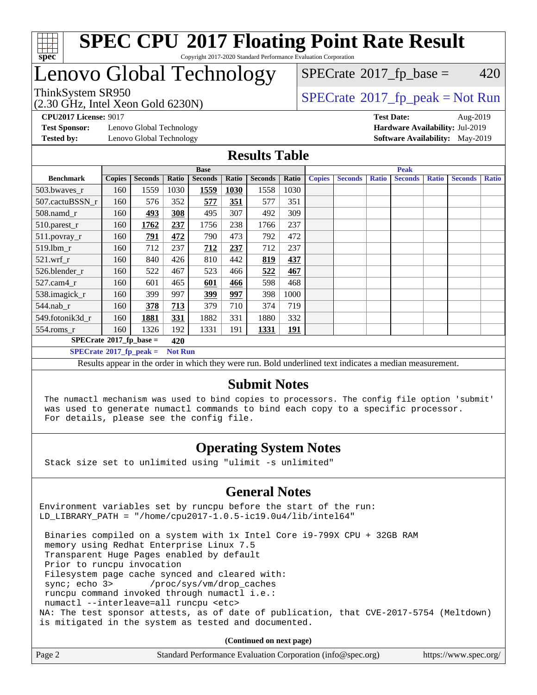

#### **[SPEC CPU](http://www.spec.org/auto/cpu2017/Docs/result-fields.html#SPECCPU2017FloatingPointRateResult)[2017 Floating Point Rate Result](http://www.spec.org/auto/cpu2017/Docs/result-fields.html#SPECCPU2017FloatingPointRateResult)** Copyright 2017-2020 Standard Performance Evaluation Corporation

# Lenovo Global Technology

ThinkSystem SR950<br>(2.30 GHz, Intel Xeon Gold 6230N)

 $SPECTate@2017_fp\_peak = Not Run$  $SPECTate$ <sup>®</sup>[2017\\_fp\\_base =](http://www.spec.org/auto/cpu2017/Docs/result-fields.html#SPECrate2017fpbase) 420

**[Test Sponsor:](http://www.spec.org/auto/cpu2017/Docs/result-fields.html#TestSponsor)** Lenovo Global Technology **[Hardware Availability:](http://www.spec.org/auto/cpu2017/Docs/result-fields.html#HardwareAvailability)** Jul-2019 **[Tested by:](http://www.spec.org/auto/cpu2017/Docs/result-fields.html#Testedby)** Lenovo Global Technology **[Software Availability:](http://www.spec.org/auto/cpu2017/Docs/result-fields.html#SoftwareAvailability)** May-2019

**[CPU2017 License:](http://www.spec.org/auto/cpu2017/Docs/result-fields.html#CPU2017License)** 9017 **[Test Date:](http://www.spec.org/auto/cpu2017/Docs/result-fields.html#TestDate)** Aug-2019

## **[Results Table](http://www.spec.org/auto/cpu2017/Docs/result-fields.html#ResultsTable)**

|                                   |               |                |                | <b>Base</b>    |       |                | <b>Peak</b> |               |                |              |                |              |                |              |
|-----------------------------------|---------------|----------------|----------------|----------------|-------|----------------|-------------|---------------|----------------|--------------|----------------|--------------|----------------|--------------|
| <b>Benchmark</b>                  | <b>Copies</b> | <b>Seconds</b> | Ratio          | <b>Seconds</b> | Ratio | <b>Seconds</b> | Ratio       | <b>Copies</b> | <b>Seconds</b> | <b>Ratio</b> | <b>Seconds</b> | <b>Ratio</b> | <b>Seconds</b> | <b>Ratio</b> |
| 503.bwaves_r                      | 160           | 1559           | 1030           | 1559           | 1030  | 1558           | 1030        |               |                |              |                |              |                |              |
| 507.cactuBSSN r                   | 160           | 576            | 352            | 577            | 351   | 577            | 351         |               |                |              |                |              |                |              |
| $508$ .namd $r$                   | 160           | 493            | 308            | 495            | 307   | 492            | 309         |               |                |              |                |              |                |              |
| 510.parest_r                      | 160           | 1762           | 237            | 1756           | 238   | 1766           | 237         |               |                |              |                |              |                |              |
| 511.povray_r                      | 160           | 791            | 472            | 790            | 473   | 792            | 472         |               |                |              |                |              |                |              |
| 519.lbm r                         | 160           | 712            | 237            | 712            | 237   | 712            | 237         |               |                |              |                |              |                |              |
| $521$ .wrf r                      | 160           | 840            | 426            | 810            | 442   | 819            | 437         |               |                |              |                |              |                |              |
| 526.blender r                     | 160           | 522            | 467            | 523            | 466   | 522            | 467         |               |                |              |                |              |                |              |
| $527$ .cam $4r$                   | 160           | 601            | 465            | 601            | 466   | 598            | 468         |               |                |              |                |              |                |              |
| 538.imagick_r                     | 160           | 399            | 997            | <u>399</u>     | 997   | 398            | 1000        |               |                |              |                |              |                |              |
| $544$ .nab r                      | 160           | 378            | 713            | 379            | 710   | 374            | 719         |               |                |              |                |              |                |              |
| 549.fotonik3d r                   | 160           | 1881           | 331            | 1882           | 331   | 1880           | 332         |               |                |              |                |              |                |              |
| $554$ .roms_r                     | 160           | 1326           | 192            | 1331           | 191   | 1331           | <u>191</u>  |               |                |              |                |              |                |              |
| $SPECrate*2017_fp\_base =$<br>420 |               |                |                |                |       |                |             |               |                |              |                |              |                |              |
| $SPECrate^{\circ}2017_fp\_peak =$ |               |                | <b>Not Run</b> |                |       |                |             |               |                |              |                |              |                |              |

Results appear in the [order in which they were run](http://www.spec.org/auto/cpu2017/Docs/result-fields.html#RunOrder). Bold underlined text [indicates a median measurement.](http://www.spec.org/auto/cpu2017/Docs/result-fields.html#Median)

#### **[Submit Notes](http://www.spec.org/auto/cpu2017/Docs/result-fields.html#SubmitNotes)**

 The numactl mechanism was used to bind copies to processors. The config file option 'submit' was used to generate numactl commands to bind each copy to a specific processor. For details, please see the config file.

## **[Operating System Notes](http://www.spec.org/auto/cpu2017/Docs/result-fields.html#OperatingSystemNotes)**

Stack size set to unlimited using "ulimit -s unlimited"

### **[General Notes](http://www.spec.org/auto/cpu2017/Docs/result-fields.html#GeneralNotes)**

Environment variables set by runcpu before the start of the run: LD\_LIBRARY\_PATH = "/home/cpu2017-1.0.5-ic19.0u4/lib/intel64"

 Binaries compiled on a system with 1x Intel Core i9-799X CPU + 32GB RAM memory using Redhat Enterprise Linux 7.5 Transparent Huge Pages enabled by default Prior to runcpu invocation Filesystem page cache synced and cleared with: sync; echo 3> /proc/sys/vm/drop\_caches runcpu command invoked through numactl i.e.: numactl --interleave=all runcpu <etc> NA: The test sponsor attests, as of date of publication, that CVE-2017-5754 (Meltdown) is mitigated in the system as tested and documented.

**(Continued on next page)**

| Page 2 | Standard Performance Evaluation Corporation (info@spec.org) | https://www.spec.org/ |
|--------|-------------------------------------------------------------|-----------------------|
|        |                                                             |                       |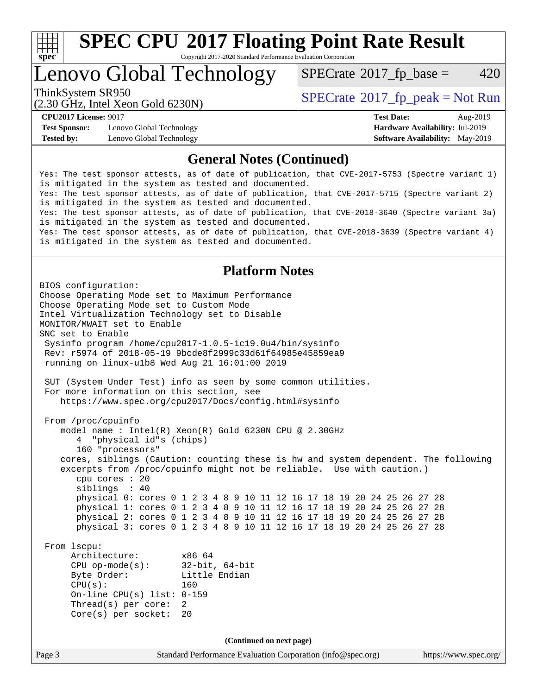

Copyright 2017-2020 Standard Performance Evaluation Corporation

# Lenovo Global Technology

 $SPECTate$ <sup>®</sup>[2017\\_fp\\_base =](http://www.spec.org/auto/cpu2017/Docs/result-fields.html#SPECrate2017fpbase) 420

(2.30 GHz, Intel Xeon Gold 6230N)

ThinkSystem SR950<br>  $SPECTI<sub>2</sub> Intel Yes on Gold 6220N$ 

**[Test Sponsor:](http://www.spec.org/auto/cpu2017/Docs/result-fields.html#TestSponsor)** Lenovo Global Technology **[Hardware Availability:](http://www.spec.org/auto/cpu2017/Docs/result-fields.html#HardwareAvailability)** Jul-2019 **[Tested by:](http://www.spec.org/auto/cpu2017/Docs/result-fields.html#Testedby)** Lenovo Global Technology **[Software Availability:](http://www.spec.org/auto/cpu2017/Docs/result-fields.html#SoftwareAvailability)** May-2019

**[CPU2017 License:](http://www.spec.org/auto/cpu2017/Docs/result-fields.html#CPU2017License)** 9017 **[Test Date:](http://www.spec.org/auto/cpu2017/Docs/result-fields.html#TestDate)** Aug-2019

## **[General Notes \(Continued\)](http://www.spec.org/auto/cpu2017/Docs/result-fields.html#GeneralNotes)**

Yes: The test sponsor attests, as of date of publication, that CVE-2017-5753 (Spectre variant 1) is mitigated in the system as tested and documented. Yes: The test sponsor attests, as of date of publication, that CVE-2017-5715 (Spectre variant 2) is mitigated in the system as tested and documented. Yes: The test sponsor attests, as of date of publication, that CVE-2018-3640 (Spectre variant 3a) is mitigated in the system as tested and documented. Yes: The test sponsor attests, as of date of publication, that CVE-2018-3639 (Spectre variant 4) is mitigated in the system as tested and documented.

## **[Platform Notes](http://www.spec.org/auto/cpu2017/Docs/result-fields.html#PlatformNotes)**

Page 3 Standard Performance Evaluation Corporation [\(info@spec.org\)](mailto:info@spec.org) <https://www.spec.org/> BIOS configuration: Choose Operating Mode set to Maximum Performance Choose Operating Mode set to Custom Mode Intel Virtualization Technology set to Disable MONITOR/MWAIT set to Enable SNC set to Enable Sysinfo program /home/cpu2017-1.0.5-ic19.0u4/bin/sysinfo Rev: r5974 of 2018-05-19 9bcde8f2999c33d61f64985e45859ea9 running on linux-u1b8 Wed Aug 21 16:01:00 2019 SUT (System Under Test) info as seen by some common utilities. For more information on this section, see <https://www.spec.org/cpu2017/Docs/config.html#sysinfo> From /proc/cpuinfo model name : Intel(R) Xeon(R) Gold 6230N CPU @ 2.30GHz 4 "physical id"s (chips) 160 "processors" cores, siblings (Caution: counting these is hw and system dependent. The following excerpts from /proc/cpuinfo might not be reliable. Use with caution.) cpu cores : 20 siblings : 40 physical 0: cores 0 1 2 3 4 8 9 10 11 12 16 17 18 19 20 24 25 26 27 28 physical 1: cores 0 1 2 3 4 8 9 10 11 12 16 17 18 19 20 24 25 26 27 28 physical 2: cores 0 1 2 3 4 8 9 10 11 12 16 17 18 19 20 24 25 26 27 28 physical 3: cores 0 1 2 3 4 8 9 10 11 12 16 17 18 19 20 24 25 26 27 28 From lscpu: Architecture: x86\_64 CPU op-mode(s): 32-bit, 64-bit Byte Order: Little Endian  $CPU(s):$  160 On-line CPU(s) list: 0-159 Thread(s) per core: 2 Core(s) per socket: 20 **(Continued on next page)**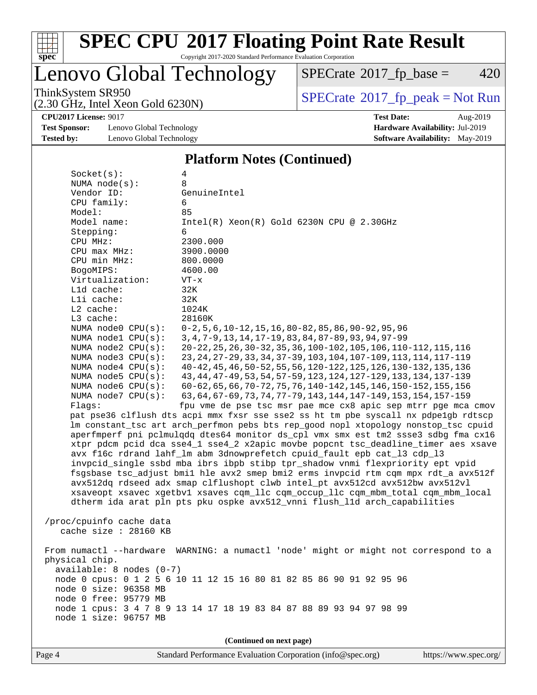

Copyright 2017-2020 Standard Performance Evaluation Corporation

# Lenovo Global Technology

 $SPECTate@2017_fp\_base = 420$ 

(2.30 GHz, Intel Xeon Gold 6230N)

ThinkSystem SR950<br>  $(2, 30 \text{ GHz})$  Intel Xeon Gold 6230N)

**[Test Sponsor:](http://www.spec.org/auto/cpu2017/Docs/result-fields.html#TestSponsor)** Lenovo Global Technology **[Hardware Availability:](http://www.spec.org/auto/cpu2017/Docs/result-fields.html#HardwareAvailability)** Jul-2019 **[Tested by:](http://www.spec.org/auto/cpu2017/Docs/result-fields.html#Testedby)** Lenovo Global Technology **[Software Availability:](http://www.spec.org/auto/cpu2017/Docs/result-fields.html#SoftwareAvailability)** May-2019

**[CPU2017 License:](http://www.spec.org/auto/cpu2017/Docs/result-fields.html#CPU2017License)** 9017 **[Test Date:](http://www.spec.org/auto/cpu2017/Docs/result-fields.html#TestDate)** Aug-2019

## **[Platform Notes \(Continued\)](http://www.spec.org/auto/cpu2017/Docs/result-fields.html#PlatformNotes)**

| Socket(s):                 | 4                                                                                   |  |  |  |  |  |
|----------------------------|-------------------------------------------------------------------------------------|--|--|--|--|--|
| NUMA $node(s):$            | 8                                                                                   |  |  |  |  |  |
| Vendor ID:                 | GenuineIntel                                                                        |  |  |  |  |  |
| CPU family:                | 6                                                                                   |  |  |  |  |  |
| Model:                     | 85                                                                                  |  |  |  |  |  |
| Model name:                | $Intel(R)$ Xeon $(R)$ Gold 6230N CPU @ 2.30GHz                                      |  |  |  |  |  |
| Stepping:                  | 6                                                                                   |  |  |  |  |  |
| CPU MHz:                   | 2300.000                                                                            |  |  |  |  |  |
| CPU max MHz:               | 3900.0000                                                                           |  |  |  |  |  |
| CPU min MHz:               | 800.0000                                                                            |  |  |  |  |  |
| BogoMIPS:                  | 4600.00                                                                             |  |  |  |  |  |
| Virtualization:            | $VT - x$                                                                            |  |  |  |  |  |
| Lld cache:                 | 32K                                                                                 |  |  |  |  |  |
| Lli cache:                 | 32K                                                                                 |  |  |  |  |  |
| $L2$ cache:                | 1024K                                                                               |  |  |  |  |  |
| L3 cache:                  | 28160K                                                                              |  |  |  |  |  |
| NUMA node0 CPU(s):         | $0-2, 5, 6, 10-12, 15, 16, 80-82, 85, 86, 90-92, 95, 96$                            |  |  |  |  |  |
| NUMA nodel $CPU(s):$       | 3, 4, 7-9, 13, 14, 17-19, 83, 84, 87-89, 93, 94, 97-99                              |  |  |  |  |  |
| NUMA node2 CPU(s):         | 20-22, 25, 26, 30-32, 35, 36, 100-102, 105, 106, 110-112, 115, 116                  |  |  |  |  |  |
| NUMA node3 CPU(s):         | 23, 24, 27-29, 33, 34, 37-39, 103, 104, 107-109, 113, 114, 117-119                  |  |  |  |  |  |
| NUMA $node4$ CPU $(s)$ :   | 40-42, 45, 46, 50-52, 55, 56, 120-122, 125, 126, 130-132, 135, 136                  |  |  |  |  |  |
| NUMA node5 CPU(s):         | 43, 44, 47-49, 53, 54, 57-59, 123, 124, 127-129, 133, 134, 137-139                  |  |  |  |  |  |
| NUMA node6 $CPU(s):$       | 60-62, 65, 66, 70-72, 75, 76, 140-142, 145, 146, 150-152, 155, 156                  |  |  |  |  |  |
| NUMA $node7$ CPU $(s)$ :   | 63, 64, 67-69, 73, 74, 77-79, 143, 144, 147-149, 153, 154, 157-159                  |  |  |  |  |  |
| Flags:                     | fpu vme de pse tsc msr pae mce cx8 apic sep mtrr pge mca cmov                       |  |  |  |  |  |
|                            | pat pse36 clflush dts acpi mmx fxsr sse sse2 ss ht tm pbe syscall nx pdpelgb rdtscp |  |  |  |  |  |
|                            | lm constant_tsc art arch_perfmon pebs bts rep_good nopl xtopology nonstop_tsc cpuid |  |  |  |  |  |
|                            | aperfmperf pni pclmulqdq dtes64 monitor ds_cpl vmx smx est tm2 ssse3 sdbg fma cx16  |  |  |  |  |  |
|                            | xtpr pdcm pcid dca sse4_1 sse4_2 x2apic movbe popcnt tsc_deadline_timer aes xsave   |  |  |  |  |  |
|                            | avx f16c rdrand lahf_lm abm 3dnowprefetch cpuid_fault epb cat_13 cdp_13             |  |  |  |  |  |
|                            | invpcid_single ssbd mba ibrs ibpb stibp tpr_shadow vnmi flexpriority ept vpid       |  |  |  |  |  |
|                            | fsgsbase tsc_adjust bmil hle avx2 smep bmi2 erms invpcid rtm cqm mpx rdt_a avx512f  |  |  |  |  |  |
|                            | avx512dq rdseed adx smap clflushopt clwb intel_pt avx512cd avx512bw avx512vl        |  |  |  |  |  |
|                            | xsaveopt xsavec xgetbvl xsaves cqm_llc cqm_occup_llc cqm_mbm_total cqm_mbm_local    |  |  |  |  |  |
|                            | dtherm ida arat pln pts pku ospke avx512_vnni flush_lld arch_capabilities           |  |  |  |  |  |
| /proc/cpuinfo cache data   |                                                                                     |  |  |  |  |  |
| cache size : 28160 KB      |                                                                                     |  |  |  |  |  |
|                            |                                                                                     |  |  |  |  |  |
| From numactl --hardware    | WARNING: a numactl 'node' might or might not correspond to a                        |  |  |  |  |  |
| physical chip.             |                                                                                     |  |  |  |  |  |
| $available: 8 nodes (0-7)$ |                                                                                     |  |  |  |  |  |
|                            | node 0 cpus: 0 1 2 5 6 10 11 12 15 16 80 81 82 85 86 90 91 92 95 96                 |  |  |  |  |  |
| node 0 size: 96358 MB      |                                                                                     |  |  |  |  |  |
| node 0 free: 95779 MB      |                                                                                     |  |  |  |  |  |
|                            | node 1 cpus: 3 4 7 8 9 13 14 17 18 19 83 84 87 88 89 93 94 97 98 99                 |  |  |  |  |  |
| node 1 size: 96757 MB      |                                                                                     |  |  |  |  |  |
|                            |                                                                                     |  |  |  |  |  |
|                            | (Continued on next page)                                                            |  |  |  |  |  |
|                            |                                                                                     |  |  |  |  |  |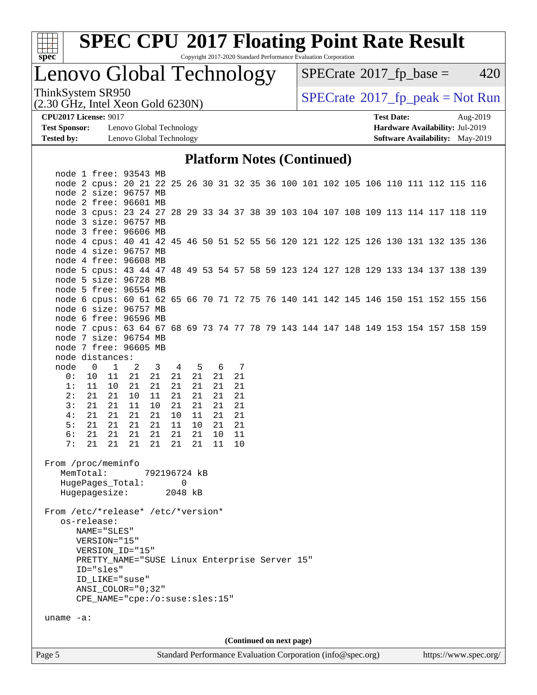

Copyright 2017-2020 Standard Performance Evaluation Corporation

# Lenovo Global Technology

 $SPECTate@2017_fp\_base = 420$ 

(2.30 GHz, Intel Xeon Gold 6230N)

ThinkSystem SR950<br>  $(2.30 \text{ GHz})$  Thiel Yean Gold 6230N)

**[Test Sponsor:](http://www.spec.org/auto/cpu2017/Docs/result-fields.html#TestSponsor)** Lenovo Global Technology **[Hardware Availability:](http://www.spec.org/auto/cpu2017/Docs/result-fields.html#HardwareAvailability)** Jul-2019 **[Tested by:](http://www.spec.org/auto/cpu2017/Docs/result-fields.html#Testedby)** Lenovo Global Technology **[Software Availability:](http://www.spec.org/auto/cpu2017/Docs/result-fields.html#SoftwareAvailability)** May-2019

**[CPU2017 License:](http://www.spec.org/auto/cpu2017/Docs/result-fields.html#CPU2017License)** 9017 **[Test Date:](http://www.spec.org/auto/cpu2017/Docs/result-fields.html#TestDate)** Aug-2019

#### **[Platform Notes \(Continued\)](http://www.spec.org/auto/cpu2017/Docs/result-fields.html#PlatformNotes)**

| Page 5                             |                             |              |                                                                                                             |              |                |          |          |          |  |                          | Standard Performance Evaluation Corporation (info@spec.org) |  |  |  | https://www.spec.org/ |
|------------------------------------|-----------------------------|--------------|-------------------------------------------------------------------------------------------------------------|--------------|----------------|----------|----------|----------|--|--------------------------|-------------------------------------------------------------|--|--|--|-----------------------|
|                                    |                             |              |                                                                                                             |              |                |          |          |          |  | (Continued on next page) |                                                             |  |  |  |                       |
| uname $-a$ :                       |                             |              |                                                                                                             |              |                |          |          |          |  |                          |                                                             |  |  |  |                       |
|                                    |                             |              | CPE_NAME="cpe:/o:suse:sles:15"                                                                              |              |                |          |          |          |  |                          |                                                             |  |  |  |                       |
|                                    |                             |              | ANSI_COLOR="0;32"                                                                                           |              |                |          |          |          |  |                          |                                                             |  |  |  |                       |
|                                    |                             |              | ID LIKE="suse"                                                                                              |              |                |          |          |          |  |                          |                                                             |  |  |  |                       |
|                                    | ID="sles"                   |              |                                                                                                             |              |                |          |          |          |  |                          |                                                             |  |  |  |                       |
|                                    |                             |              | PRETTY_NAME="SUSE Linux Enterprise Server 15"                                                               |              |                |          |          |          |  |                          |                                                             |  |  |  |                       |
|                                    |                             |              | VERSION_ID="15"                                                                                             |              |                |          |          |          |  |                          |                                                             |  |  |  |                       |
|                                    | NAME="SLES"<br>VERSION="15" |              |                                                                                                             |              |                |          |          |          |  |                          |                                                             |  |  |  |                       |
| From /etc/*release* /etc/*version* | os-release:                 |              |                                                                                                             |              |                |          |          |          |  |                          |                                                             |  |  |  |                       |
|                                    |                             |              | Hugepagesize:                                                                                               |              | 2048 kB        |          |          |          |  |                          |                                                             |  |  |  |                       |
|                                    |                             |              | HugePages_Total:                                                                                            |              |                | 0        |          |          |  |                          |                                                             |  |  |  |                       |
| From /proc/meminfo                 | MemTotal:                   |              |                                                                                                             | 792196724 kB |                |          |          |          |  |                          |                                                             |  |  |  |                       |
|                                    |                             |              |                                                                                                             |              |                |          |          |          |  |                          |                                                             |  |  |  |                       |
| 6:<br>7:                           | 21<br>21                    | 21<br>21     | 21<br>21                                                                                                    | 21<br>21     | 21<br>21       | 21<br>21 | 10<br>11 | 11<br>10 |  |                          |                                                             |  |  |  |                       |
| 5:                                 | 21                          | 21           | 21                                                                                                          | 21           | 11             | 10       | 21       | 21       |  |                          |                                                             |  |  |  |                       |
| 4 :                                | 21                          | 21           | 21                                                                                                          | 21           | 10             | 11       | 21       | 21       |  |                          |                                                             |  |  |  |                       |
| 3:                                 | 21                          | 21           | 11                                                                                                          | 10           | 21             | 21       | 21       | 21       |  |                          |                                                             |  |  |  |                       |
| 2:                                 | 21                          | 21           | 10                                                                                                          | 11           | 21             | 21       | 21       | 21       |  |                          |                                                             |  |  |  |                       |
| 1:                                 | 11                          | 10           | -21                                                                                                         | 21           | 21             | 21       | 21       | 21       |  |                          |                                                             |  |  |  |                       |
| 0:                                 | 10                          | - 11         | 21                                                                                                          | 21           | 21             | 21       | 21       | 21       |  |                          |                                                             |  |  |  |                       |
| node                               | $\overline{0}$              | $\mathbf{1}$ | 2                                                                                                           | 3            | $\overline{4}$ | 5        | 6 7      |          |  |                          |                                                             |  |  |  |                       |
| node distances:                    |                             |              |                                                                                                             |              |                |          |          |          |  |                          |                                                             |  |  |  |                       |
|                                    |                             |              | node 7 free: 96605 MB                                                                                       |              |                |          |          |          |  |                          |                                                             |  |  |  |                       |
|                                    |                             |              | node 7 size: 96754 MB                                                                                       |              |                |          |          |          |  |                          |                                                             |  |  |  |                       |
|                                    |                             |              | node 7 cpus: 63 64 67 68 69 73 74 77 78 79 143 144 147 148 149 153 154 157 158 159                          |              |                |          |          |          |  |                          |                                                             |  |  |  |                       |
|                                    |                             |              | node 6 free: 96596 MB                                                                                       |              |                |          |          |          |  |                          |                                                             |  |  |  |                       |
|                                    |                             |              | node 6 size: 96757 MB                                                                                       |              |                |          |          |          |  |                          |                                                             |  |  |  |                       |
|                                    |                             |              | node 5 free: 96554 MB<br>node 6 cpus: 60 61 62 65 66 70 71 72 75 76 140 141 142 145 146 150 151 152 155 156 |              |                |          |          |          |  |                          |                                                             |  |  |  |                       |
|                                    |                             |              | node 5 size: 96728 MB                                                                                       |              |                |          |          |          |  |                          |                                                             |  |  |  |                       |
|                                    |                             |              | node 5 cpus: 43 44 47 48 49 53 54 57 58 59 123 124 127 128 129 133 134 137 138 139                          |              |                |          |          |          |  |                          |                                                             |  |  |  |                       |
|                                    |                             |              | node 4 free: 96608 MB                                                                                       |              |                |          |          |          |  |                          |                                                             |  |  |  |                       |
|                                    |                             |              | node 4 size: 96757 MB                                                                                       |              |                |          |          |          |  |                          |                                                             |  |  |  |                       |
|                                    |                             |              | node 4 cpus: 40 41 42 45 46 50 51 52 55 56 120 121 122 125 126 130 131 132 135 136                          |              |                |          |          |          |  |                          |                                                             |  |  |  |                       |
|                                    |                             |              | node 3 free: 96606 MB                                                                                       |              |                |          |          |          |  |                          |                                                             |  |  |  |                       |
|                                    |                             |              | node 3 size: 96757 MB                                                                                       |              |                |          |          |          |  |                          |                                                             |  |  |  |                       |
|                                    |                             |              | node 3 cpus: 23 24 27 28 29 33 34 37 38 39 103 104 107 108 109 113 114 117 118 119                          |              |                |          |          |          |  |                          |                                                             |  |  |  |                       |
|                                    |                             |              | node 2 free: 96601 MB                                                                                       |              |                |          |          |          |  |                          |                                                             |  |  |  |                       |
|                                    |                             |              | node 2 size: 96757 MB                                                                                       |              |                |          |          |          |  |                          |                                                             |  |  |  |                       |
|                                    |                             |              | node 2 cpus: 20 21 22 25 26 30 31 32 35 36 100 101 102 105 106 110 111 112 115 116                          |              |                |          |          |          |  |                          |                                                             |  |  |  |                       |
|                                    |                             |              | node 1 free: 93543 MB                                                                                       |              |                |          |          |          |  |                          |                                                             |  |  |  |                       |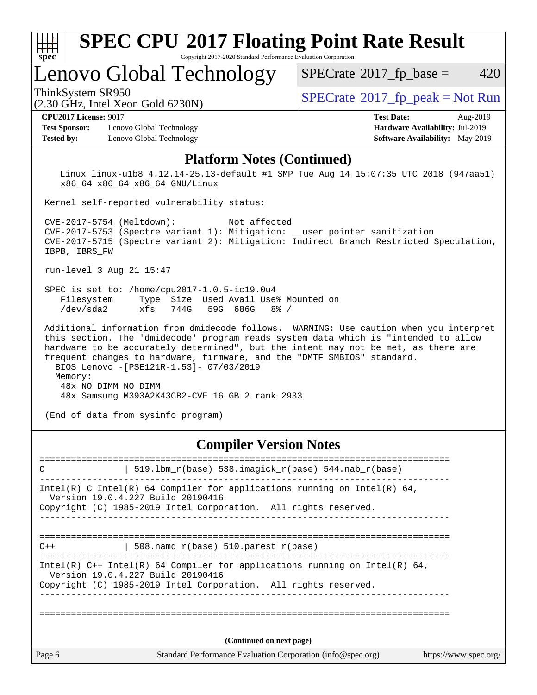| Spec                                                                      | <b>SPEC CPU®2017 Floating Point Rate Result</b><br>Copyright 2017-2020 Standard Performance Evaluation Corporation                                                                                                                                                                                                                                                       |                                                                                                            |
|---------------------------------------------------------------------------|--------------------------------------------------------------------------------------------------------------------------------------------------------------------------------------------------------------------------------------------------------------------------------------------------------------------------------------------------------------------------|------------------------------------------------------------------------------------------------------------|
|                                                                           | Lenovo Global Technology                                                                                                                                                                                                                                                                                                                                                 | 420<br>$SPECrate^{\circ}2017$ fp base =                                                                    |
| ThinkSystem SR950                                                         | $(2.30 \text{ GHz}, \text{Intel Xeon Gold } 6230\text{N})$                                                                                                                                                                                                                                                                                                               | $SPECrate^{\circ}2017$ _fp_peak = Not Run                                                                  |
| <b>CPU2017 License: 9017</b><br><b>Test Sponsor:</b><br><b>Tested by:</b> | Lenovo Global Technology<br>Lenovo Global Technology                                                                                                                                                                                                                                                                                                                     | <b>Test Date:</b><br>Aug-2019<br>Hardware Availability: Jul-2019<br><b>Software Availability:</b> May-2019 |
|                                                                           | <b>Platform Notes (Continued)</b>                                                                                                                                                                                                                                                                                                                                        |                                                                                                            |
|                                                                           | x86_64 x86_64 x86_64 GNU/Linux<br>Kernel self-reported vulnerability status:                                                                                                                                                                                                                                                                                             | Linux linux-ulb8 4.12.14-25.13-default #1 SMP Tue Aug 14 15:07:35 UTC 2018 (947aa51)                       |
| IBPB, IBRS FW                                                             | CVE-2017-5754 (Meltdown):<br>Not affected<br>CVE-2017-5753 (Spectre variant 1): Mitigation: __user pointer sanitization                                                                                                                                                                                                                                                  | CVE-2017-5715 (Spectre variant 2): Mitigation: Indirect Branch Restricted Speculation,                     |
|                                                                           | run-level 3 Aug 21 15:47                                                                                                                                                                                                                                                                                                                                                 |                                                                                                            |
| Filesystem<br>$/\text{dev/sda2}$                                          | SPEC is set to: /home/cpu2017-1.0.5-ic19.0u4<br>Size Used Avail Use% Mounted on<br>Type<br>744G<br>59G 686G<br>$8\%$ /<br>xfs                                                                                                                                                                                                                                            |                                                                                                            |
| Memory:                                                                   | this section. The 'dmidecode' program reads system data which is "intended to allow<br>hardware to be accurately determined", but the intent may not be met, as there are<br>frequent changes to hardware, firmware, and the "DMTF SMBIOS" standard.<br>BIOS Lenovo -[PSE121R-1.53]- 07/03/2019<br>48x NO DIMM NO DIMM<br>48x Samsung M393A2K43CB2-CVF 16 GB 2 rank 2933 | Additional information from dmidecode follows. WARNING: Use caution when you interpret                     |
|                                                                           | (End of data from sysinfo program)                                                                                                                                                                                                                                                                                                                                       |                                                                                                            |

## **[Compiler Version Notes](http://www.spec.org/auto/cpu2017/Docs/result-fields.html#CompilerVersionNotes)**

| C      | 519.1bm_r(base) 538.imagick_r(base) 544.nab_r(base)                                                                                                                                  |                       |
|--------|--------------------------------------------------------------------------------------------------------------------------------------------------------------------------------------|-----------------------|
|        | Intel(R) C Intel(R) 64 Compiler for applications running on Intel(R) 64,<br>Version 19.0.4.227 Build 20190416<br>Copyright (C) 1985-2019 Intel Corporation. All rights reserved.     |                       |
| $C++$  | 508.namd_r(base) 510.parest_r(base)                                                                                                                                                  |                       |
|        | Intel(R) $C++$ Intel(R) 64 Compiler for applications running on Intel(R) 64,<br>Version 19.0.4.227 Build 20190416<br>Copyright (C) 1985-2019 Intel Corporation. All rights reserved. |                       |
|        |                                                                                                                                                                                      |                       |
|        | (Continued on next page)                                                                                                                                                             |                       |
| Page 6 | Standard Performance Evaluation Corporation (info@spec.org)                                                                                                                          | https://www.spec.org/ |
|        |                                                                                                                                                                                      |                       |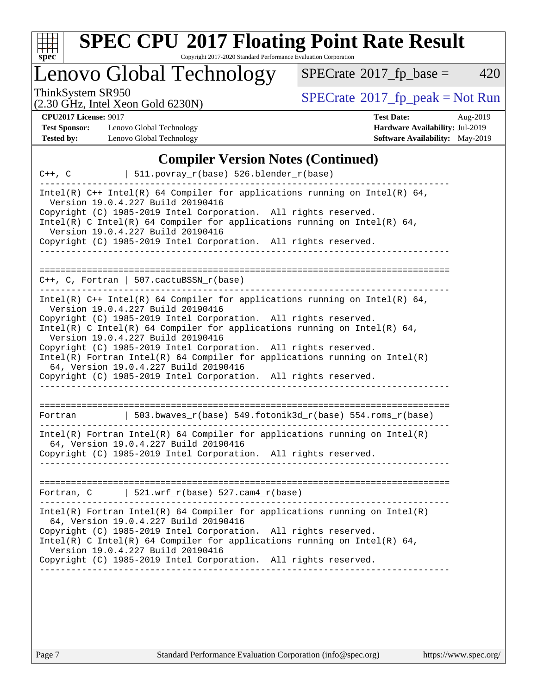

Copyright 2017-2020 Standard Performance Evaluation Corporation

# Lenovo Global Technology

 $SPECrate$ <sup>®</sup>[2017\\_fp\\_base =](http://www.spec.org/auto/cpu2017/Docs/result-fields.html#SPECrate2017fpbase) 420

(2.30 GHz, Intel Xeon Gold 6230N)

ThinkSystem SR950<br>  $(2, 30 \text{ GHz})$  Intel Xeon Gold 6230N)

**[CPU2017 License:](http://www.spec.org/auto/cpu2017/Docs/result-fields.html#CPU2017License)** 9017 **[Test Date:](http://www.spec.org/auto/cpu2017/Docs/result-fields.html#TestDate)** Aug-2019

**[Test Sponsor:](http://www.spec.org/auto/cpu2017/Docs/result-fields.html#TestSponsor)** Lenovo Global Technology **[Hardware Availability:](http://www.spec.org/auto/cpu2017/Docs/result-fields.html#HardwareAvailability)** Jul-2019 **[Tested by:](http://www.spec.org/auto/cpu2017/Docs/result-fields.html#Testedby)** Lenovo Global Technology **[Software Availability:](http://www.spec.org/auto/cpu2017/Docs/result-fields.html#SoftwareAvailability)** May-2019

|             | <b>Compiler Version Notes (Continued)</b>                                                                                                                                                                                                                                                                                                                                                                                                                                                                                                                            |
|-------------|----------------------------------------------------------------------------------------------------------------------------------------------------------------------------------------------------------------------------------------------------------------------------------------------------------------------------------------------------------------------------------------------------------------------------------------------------------------------------------------------------------------------------------------------------------------------|
| $C++$ , $C$ | 511.povray_r(base) 526.blender_r(base)                                                                                                                                                                                                                                                                                                                                                                                                                                                                                                                               |
|             | Intel(R) $C++$ Intel(R) 64 Compiler for applications running on Intel(R) 64,<br>Version 19.0.4.227 Build 20190416<br>Copyright (C) 1985-2019 Intel Corporation. All rights reserved.<br>$Intel(R)$ C Intel(R) 64 Compiler for applications running on Intel(R) 64,<br>Version 19.0.4.227 Build 20190416<br>Copyright (C) 1985-2019 Intel Corporation. All rights reserved.                                                                                                                                                                                           |
|             | $C_{++}$ , C, Fortran   507.cactuBSSN_r(base)                                                                                                                                                                                                                                                                                                                                                                                                                                                                                                                        |
|             | Intel(R) $C++$ Intel(R) 64 Compiler for applications running on Intel(R) 64,<br>Version 19.0.4.227 Build 20190416<br>Copyright (C) 1985-2019 Intel Corporation. All rights reserved.<br>Intel(R) C Intel(R) 64 Compiler for applications running on Intel(R) 64,<br>Version 19.0.4.227 Build 20190416<br>Copyright (C) 1985-2019 Intel Corporation. All rights reserved.<br>$Intel(R)$ Fortran Intel(R) 64 Compiler for applications running on Intel(R)<br>64, Version 19.0.4.227 Build 20190416<br>Copyright (C) 1985-2019 Intel Corporation. All rights reserved. |
| Fortran     | 503.bwaves_r(base) 549.fotonik3d_r(base) 554.roms_r(base)                                                                                                                                                                                                                                                                                                                                                                                                                                                                                                            |
|             | $Intel(R)$ Fortran Intel(R) 64 Compiler for applications running on Intel(R)<br>64, Version 19.0.4.227 Build 20190416<br>Copyright (C) 1985-2019 Intel Corporation. All rights reserved.                                                                                                                                                                                                                                                                                                                                                                             |
|             | Fortran, $C$   521.wrf_r(base) 527.cam4_r(base)                                                                                                                                                                                                                                                                                                                                                                                                                                                                                                                      |
|             | $Intel(R)$ Fortran Intel(R) 64 Compiler for applications running on Intel(R)<br>64, Version 19.0.4.227 Build 20190416<br>Copyright (C) 1985-2019 Intel Corporation. All rights reserved.<br>Intel(R) C Intel(R) 64 Compiler for applications running on Intel(R) 64,<br>Version 19.0.4.227 Build 20190416<br>Copyright (C) 1985-2019 Intel Corporation. All rights reserved.                                                                                                                                                                                         |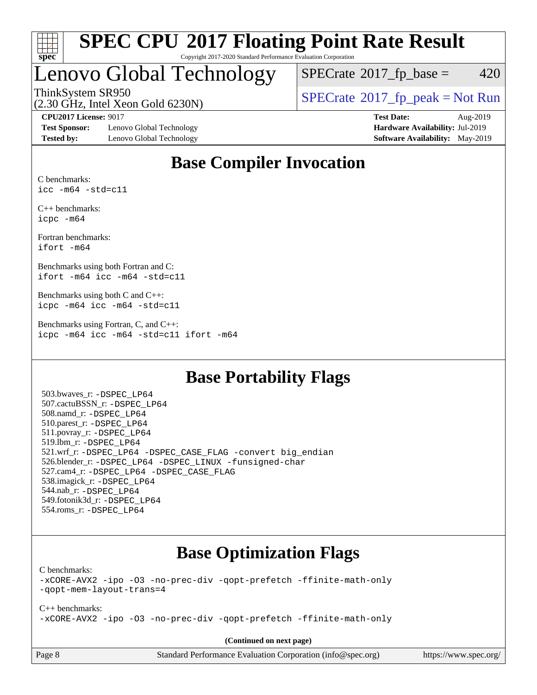

#### **[SPEC CPU](http://www.spec.org/auto/cpu2017/Docs/result-fields.html#SPECCPU2017FloatingPointRateResult)[2017 Floating Point Rate Result](http://www.spec.org/auto/cpu2017/Docs/result-fields.html#SPECCPU2017FloatingPointRateResult)** Copyright 2017-2020 Standard Performance Evaluation Corporation

# Lenovo Global Technology

 $SPECTate$ <sup>®</sup>[2017\\_fp\\_base =](http://www.spec.org/auto/cpu2017/Docs/result-fields.html#SPECrate2017fpbase) 420

(2.30 GHz, Intel Xeon Gold 6230N)

ThinkSystem SR950<br>  $\begin{array}{c}\n\text{SPECrate} \textcirc 2017\_fp\_peak = Not Run \\
\text{SPECrate} \textcirc 2017\_fp\_peak = Not Run\n\end{array}$  $\begin{array}{c}\n\text{SPECrate} \textcirc 2017\_fp\_peak = Not Run \\
\text{SPECrate} \textcirc 2017\_fp\_peak = Not Run\n\end{array}$  $\begin{array}{c}\n\text{SPECrate} \textcirc 2017\_fp\_peak = Not Run \\
\text{SPECrate} \textcirc 2017\_fp\_peak = Not Run\n\end{array}$ 

**[Test Sponsor:](http://www.spec.org/auto/cpu2017/Docs/result-fields.html#TestSponsor)** Lenovo Global Technology **[Hardware Availability:](http://www.spec.org/auto/cpu2017/Docs/result-fields.html#HardwareAvailability)** Jul-2019 **[Tested by:](http://www.spec.org/auto/cpu2017/Docs/result-fields.html#Testedby)** Lenovo Global Technology **[Software Availability:](http://www.spec.org/auto/cpu2017/Docs/result-fields.html#SoftwareAvailability)** May-2019

**[CPU2017 License:](http://www.spec.org/auto/cpu2017/Docs/result-fields.html#CPU2017License)** 9017 **[Test Date:](http://www.spec.org/auto/cpu2017/Docs/result-fields.html#TestDate)** Aug-2019

## **[Base Compiler Invocation](http://www.spec.org/auto/cpu2017/Docs/result-fields.html#BaseCompilerInvocation)**

[C benchmarks:](http://www.spec.org/auto/cpu2017/Docs/result-fields.html#Cbenchmarks) [icc -m64 -std=c11](http://www.spec.org/cpu2017/results/res2019q3/cpu2017-20190902-17533.flags.html#user_CCbase_intel_icc_64bit_c11_33ee0cdaae7deeeab2a9725423ba97205ce30f63b9926c2519791662299b76a0318f32ddfffdc46587804de3178b4f9328c46fa7c2b0cd779d7a61945c91cd35)

[C++ benchmarks:](http://www.spec.org/auto/cpu2017/Docs/result-fields.html#CXXbenchmarks) [icpc -m64](http://www.spec.org/cpu2017/results/res2019q3/cpu2017-20190902-17533.flags.html#user_CXXbase_intel_icpc_64bit_4ecb2543ae3f1412ef961e0650ca070fec7b7afdcd6ed48761b84423119d1bf6bdf5cad15b44d48e7256388bc77273b966e5eb805aefd121eb22e9299b2ec9d9)

[Fortran benchmarks](http://www.spec.org/auto/cpu2017/Docs/result-fields.html#Fortranbenchmarks): [ifort -m64](http://www.spec.org/cpu2017/results/res2019q3/cpu2017-20190902-17533.flags.html#user_FCbase_intel_ifort_64bit_24f2bb282fbaeffd6157abe4f878425411749daecae9a33200eee2bee2fe76f3b89351d69a8130dd5949958ce389cf37ff59a95e7a40d588e8d3a57e0c3fd751)

[Benchmarks using both Fortran and C:](http://www.spec.org/auto/cpu2017/Docs/result-fields.html#BenchmarksusingbothFortranandC) [ifort -m64](http://www.spec.org/cpu2017/results/res2019q3/cpu2017-20190902-17533.flags.html#user_CC_FCbase_intel_ifort_64bit_24f2bb282fbaeffd6157abe4f878425411749daecae9a33200eee2bee2fe76f3b89351d69a8130dd5949958ce389cf37ff59a95e7a40d588e8d3a57e0c3fd751) [icc -m64 -std=c11](http://www.spec.org/cpu2017/results/res2019q3/cpu2017-20190902-17533.flags.html#user_CC_FCbase_intel_icc_64bit_c11_33ee0cdaae7deeeab2a9725423ba97205ce30f63b9926c2519791662299b76a0318f32ddfffdc46587804de3178b4f9328c46fa7c2b0cd779d7a61945c91cd35)

[Benchmarks using both C and C++](http://www.spec.org/auto/cpu2017/Docs/result-fields.html#BenchmarksusingbothCandCXX): [icpc -m64](http://www.spec.org/cpu2017/results/res2019q3/cpu2017-20190902-17533.flags.html#user_CC_CXXbase_intel_icpc_64bit_4ecb2543ae3f1412ef961e0650ca070fec7b7afdcd6ed48761b84423119d1bf6bdf5cad15b44d48e7256388bc77273b966e5eb805aefd121eb22e9299b2ec9d9) [icc -m64 -std=c11](http://www.spec.org/cpu2017/results/res2019q3/cpu2017-20190902-17533.flags.html#user_CC_CXXbase_intel_icc_64bit_c11_33ee0cdaae7deeeab2a9725423ba97205ce30f63b9926c2519791662299b76a0318f32ddfffdc46587804de3178b4f9328c46fa7c2b0cd779d7a61945c91cd35)

[Benchmarks using Fortran, C, and C++:](http://www.spec.org/auto/cpu2017/Docs/result-fields.html#BenchmarksusingFortranCandCXX) [icpc -m64](http://www.spec.org/cpu2017/results/res2019q3/cpu2017-20190902-17533.flags.html#user_CC_CXX_FCbase_intel_icpc_64bit_4ecb2543ae3f1412ef961e0650ca070fec7b7afdcd6ed48761b84423119d1bf6bdf5cad15b44d48e7256388bc77273b966e5eb805aefd121eb22e9299b2ec9d9) [icc -m64 -std=c11](http://www.spec.org/cpu2017/results/res2019q3/cpu2017-20190902-17533.flags.html#user_CC_CXX_FCbase_intel_icc_64bit_c11_33ee0cdaae7deeeab2a9725423ba97205ce30f63b9926c2519791662299b76a0318f32ddfffdc46587804de3178b4f9328c46fa7c2b0cd779d7a61945c91cd35) [ifort -m64](http://www.spec.org/cpu2017/results/res2019q3/cpu2017-20190902-17533.flags.html#user_CC_CXX_FCbase_intel_ifort_64bit_24f2bb282fbaeffd6157abe4f878425411749daecae9a33200eee2bee2fe76f3b89351d69a8130dd5949958ce389cf37ff59a95e7a40d588e8d3a57e0c3fd751)

## **[Base Portability Flags](http://www.spec.org/auto/cpu2017/Docs/result-fields.html#BasePortabilityFlags)**

 503.bwaves\_r: [-DSPEC\\_LP64](http://www.spec.org/cpu2017/results/res2019q3/cpu2017-20190902-17533.flags.html#suite_basePORTABILITY503_bwaves_r_DSPEC_LP64) 507.cactuBSSN\_r: [-DSPEC\\_LP64](http://www.spec.org/cpu2017/results/res2019q3/cpu2017-20190902-17533.flags.html#suite_basePORTABILITY507_cactuBSSN_r_DSPEC_LP64) 508.namd\_r: [-DSPEC\\_LP64](http://www.spec.org/cpu2017/results/res2019q3/cpu2017-20190902-17533.flags.html#suite_basePORTABILITY508_namd_r_DSPEC_LP64) 510.parest\_r: [-DSPEC\\_LP64](http://www.spec.org/cpu2017/results/res2019q3/cpu2017-20190902-17533.flags.html#suite_basePORTABILITY510_parest_r_DSPEC_LP64) 511.povray\_r: [-DSPEC\\_LP64](http://www.spec.org/cpu2017/results/res2019q3/cpu2017-20190902-17533.flags.html#suite_basePORTABILITY511_povray_r_DSPEC_LP64) 519.lbm\_r: [-DSPEC\\_LP64](http://www.spec.org/cpu2017/results/res2019q3/cpu2017-20190902-17533.flags.html#suite_basePORTABILITY519_lbm_r_DSPEC_LP64) 521.wrf\_r: [-DSPEC\\_LP64](http://www.spec.org/cpu2017/results/res2019q3/cpu2017-20190902-17533.flags.html#suite_basePORTABILITY521_wrf_r_DSPEC_LP64) [-DSPEC\\_CASE\\_FLAG](http://www.spec.org/cpu2017/results/res2019q3/cpu2017-20190902-17533.flags.html#b521.wrf_r_baseCPORTABILITY_DSPEC_CASE_FLAG) [-convert big\\_endian](http://www.spec.org/cpu2017/results/res2019q3/cpu2017-20190902-17533.flags.html#user_baseFPORTABILITY521_wrf_r_convert_big_endian_c3194028bc08c63ac5d04de18c48ce6d347e4e562e8892b8bdbdc0214820426deb8554edfa529a3fb25a586e65a3d812c835984020483e7e73212c4d31a38223) 526.blender\_r: [-DSPEC\\_LP64](http://www.spec.org/cpu2017/results/res2019q3/cpu2017-20190902-17533.flags.html#suite_basePORTABILITY526_blender_r_DSPEC_LP64) [-DSPEC\\_LINUX](http://www.spec.org/cpu2017/results/res2019q3/cpu2017-20190902-17533.flags.html#b526.blender_r_baseCPORTABILITY_DSPEC_LINUX) [-funsigned-char](http://www.spec.org/cpu2017/results/res2019q3/cpu2017-20190902-17533.flags.html#user_baseCPORTABILITY526_blender_r_force_uchar_40c60f00ab013830e2dd6774aeded3ff59883ba5a1fc5fc14077f794d777847726e2a5858cbc7672e36e1b067e7e5c1d9a74f7176df07886a243d7cc18edfe67) 527.cam4\_r: [-DSPEC\\_LP64](http://www.spec.org/cpu2017/results/res2019q3/cpu2017-20190902-17533.flags.html#suite_basePORTABILITY527_cam4_r_DSPEC_LP64) [-DSPEC\\_CASE\\_FLAG](http://www.spec.org/cpu2017/results/res2019q3/cpu2017-20190902-17533.flags.html#b527.cam4_r_baseCPORTABILITY_DSPEC_CASE_FLAG) 538.imagick\_r: [-DSPEC\\_LP64](http://www.spec.org/cpu2017/results/res2019q3/cpu2017-20190902-17533.flags.html#suite_basePORTABILITY538_imagick_r_DSPEC_LP64) 544.nab\_r: [-DSPEC\\_LP64](http://www.spec.org/cpu2017/results/res2019q3/cpu2017-20190902-17533.flags.html#suite_basePORTABILITY544_nab_r_DSPEC_LP64) 549.fotonik3d\_r: [-DSPEC\\_LP64](http://www.spec.org/cpu2017/results/res2019q3/cpu2017-20190902-17533.flags.html#suite_basePORTABILITY549_fotonik3d_r_DSPEC_LP64) 554.roms\_r: [-DSPEC\\_LP64](http://www.spec.org/cpu2017/results/res2019q3/cpu2017-20190902-17533.flags.html#suite_basePORTABILITY554_roms_r_DSPEC_LP64)

## **[Base Optimization Flags](http://www.spec.org/auto/cpu2017/Docs/result-fields.html#BaseOptimizationFlags)**

[C benchmarks](http://www.spec.org/auto/cpu2017/Docs/result-fields.html#Cbenchmarks):

[-xCORE-AVX2](http://www.spec.org/cpu2017/results/res2019q3/cpu2017-20190902-17533.flags.html#user_CCbase_f-xCORE-AVX2) [-ipo](http://www.spec.org/cpu2017/results/res2019q3/cpu2017-20190902-17533.flags.html#user_CCbase_f-ipo) [-O3](http://www.spec.org/cpu2017/results/res2019q3/cpu2017-20190902-17533.flags.html#user_CCbase_f-O3) [-no-prec-div](http://www.spec.org/cpu2017/results/res2019q3/cpu2017-20190902-17533.flags.html#user_CCbase_f-no-prec-div) [-qopt-prefetch](http://www.spec.org/cpu2017/results/res2019q3/cpu2017-20190902-17533.flags.html#user_CCbase_f-qopt-prefetch) [-ffinite-math-only](http://www.spec.org/cpu2017/results/res2019q3/cpu2017-20190902-17533.flags.html#user_CCbase_f_finite_math_only_cb91587bd2077682c4b38af759c288ed7c732db004271a9512da14a4f8007909a5f1427ecbf1a0fb78ff2a814402c6114ac565ca162485bbcae155b5e4258871) [-qopt-mem-layout-trans=4](http://www.spec.org/cpu2017/results/res2019q3/cpu2017-20190902-17533.flags.html#user_CCbase_f-qopt-mem-layout-trans_fa39e755916c150a61361b7846f310bcdf6f04e385ef281cadf3647acec3f0ae266d1a1d22d972a7087a248fd4e6ca390a3634700869573d231a252c784941a8)

[C++ benchmarks:](http://www.spec.org/auto/cpu2017/Docs/result-fields.html#CXXbenchmarks) [-xCORE-AVX2](http://www.spec.org/cpu2017/results/res2019q3/cpu2017-20190902-17533.flags.html#user_CXXbase_f-xCORE-AVX2) [-ipo](http://www.spec.org/cpu2017/results/res2019q3/cpu2017-20190902-17533.flags.html#user_CXXbase_f-ipo) [-O3](http://www.spec.org/cpu2017/results/res2019q3/cpu2017-20190902-17533.flags.html#user_CXXbase_f-O3) [-no-prec-div](http://www.spec.org/cpu2017/results/res2019q3/cpu2017-20190902-17533.flags.html#user_CXXbase_f-no-prec-div) [-qopt-prefetch](http://www.spec.org/cpu2017/results/res2019q3/cpu2017-20190902-17533.flags.html#user_CXXbase_f-qopt-prefetch) [-ffinite-math-only](http://www.spec.org/cpu2017/results/res2019q3/cpu2017-20190902-17533.flags.html#user_CXXbase_f_finite_math_only_cb91587bd2077682c4b38af759c288ed7c732db004271a9512da14a4f8007909a5f1427ecbf1a0fb78ff2a814402c6114ac565ca162485bbcae155b5e4258871)

**(Continued on next page)**

| age 8 |  |
|-------|--|
|-------|--|

Page 8 Standard Performance Evaluation Corporation [\(info@spec.org\)](mailto:info@spec.org) <https://www.spec.org/>